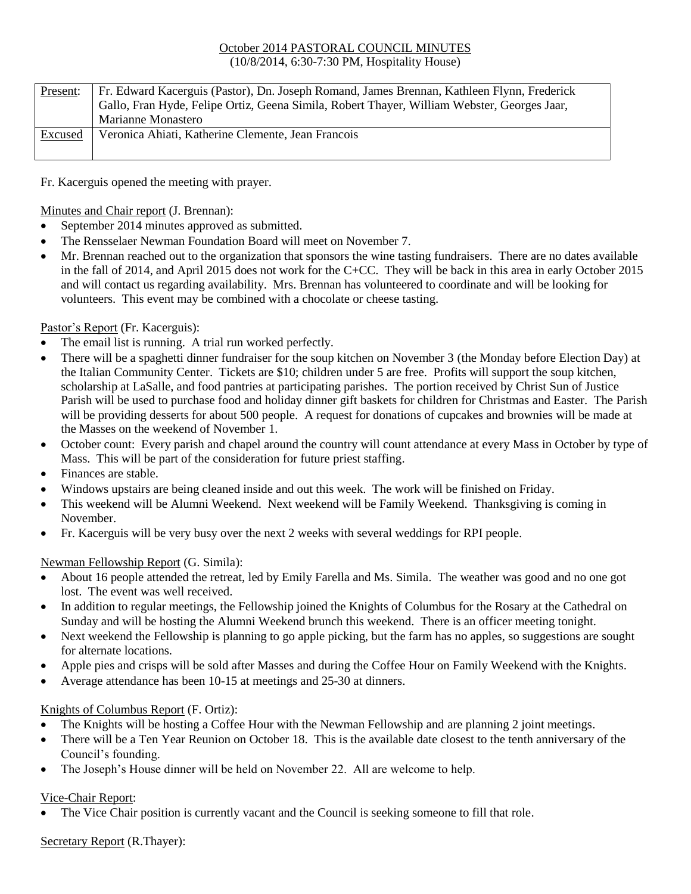#### October 2014 PASTORAL COUNCIL MINUTES (10/8/2014, 6:30-7:30 PM, Hospitality House)

| Present: | Fr. Edward Kacerguis (Pastor), Dn. Joseph Romand, James Brennan, Kathleen Flynn, Frederick<br>Gallo, Fran Hyde, Felipe Ortiz, Geena Simila, Robert Thayer, William Webster, Georges Jaar,<br>Marianne Monastero |
|----------|-----------------------------------------------------------------------------------------------------------------------------------------------------------------------------------------------------------------|
| Excused  | Veronica Ahiati, Katherine Clemente, Jean Francois                                                                                                                                                              |

Fr. Kacerguis opened the meeting with prayer.

Minutes and Chair report (J. Brennan):

- September 2014 minutes approved as submitted.
- The Rensselaer Newman Foundation Board will meet on November 7.
- Mr. Brennan reached out to the organization that sponsors the wine tasting fundraisers. There are no dates available in the fall of 2014, and April 2015 does not work for the C+CC. They will be back in this area in early October 2015 and will contact us regarding availability. Mrs. Brennan has volunteered to coordinate and will be looking for volunteers. This event may be combined with a chocolate or cheese tasting.

### Pastor's Report (Fr. Kacerguis):

- The email list is running. A trial run worked perfectly.
- There will be a spaghetti dinner fundraiser for the soup kitchen on November 3 (the Monday before Election Day) at the Italian Community Center. Tickets are \$10; children under 5 are free. Profits will support the soup kitchen, scholarship at LaSalle, and food pantries at participating parishes. The portion received by Christ Sun of Justice Parish will be used to purchase food and holiday dinner gift baskets for children for Christmas and Easter. The Parish will be providing desserts for about 500 people. A request for donations of cupcakes and brownies will be made at the Masses on the weekend of November 1.
- October count: Every parish and chapel around the country will count attendance at every Mass in October by type of Mass. This will be part of the consideration for future priest staffing.
- Finances are stable.
- Windows upstairs are being cleaned inside and out this week. The work will be finished on Friday.
- This weekend will be Alumni Weekend. Next weekend will be Family Weekend. Thanksgiving is coming in November.
- Fr. Kacerguis will be very busy over the next 2 weeks with several weddings for RPI people.

### Newman Fellowship Report (G. Simila):

- About 16 people attended the retreat, led by Emily Farella and Ms. Simila. The weather was good and no one got lost. The event was well received.
- In addition to regular meetings, the Fellowship joined the Knights of Columbus for the Rosary at the Cathedral on Sunday and will be hosting the Alumni Weekend brunch this weekend. There is an officer meeting tonight.
- Next weekend the Fellowship is planning to go apple picking, but the farm has no apples, so suggestions are sought for alternate locations.
- Apple pies and crisps will be sold after Masses and during the Coffee Hour on Family Weekend with the Knights.
- Average attendance has been 10-15 at meetings and 25-30 at dinners.

### Knights of Columbus Report (F. Ortiz):

- The Knights will be hosting a Coffee Hour with the Newman Fellowship and are planning 2 joint meetings.
- There will be a Ten Year Reunion on October 18. This is the available date closest to the tenth anniversary of the Council's founding.
- The Joseph's House dinner will be held on November 22. All are welcome to help.

# Vice-Chair Report:

The Vice Chair position is currently vacant and the Council is seeking someone to fill that role.

# Secretary Report (R.Thayer):